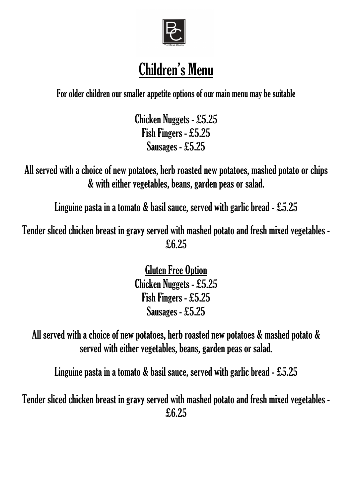

# Children's Menu

For older children our smaller appetite options of our main menu may be suitable

Chicken Nuggets - £5.25 Fish Fingers - £5.25 Sausages - £5.25

All served with a choice of new potatoes, herb roasted new potatoes, mashed potato or chips & with either vegetables, beans, garden peas or salad.

Linguine pasta in a tomato & basil sauce, served with garlic bread - £5.25

Tender sliced chicken breast in gravy served with mashed potato and fresh mixed vegetables - £6.25

> Gluten Free Option Chicken Nuggets - £5.25 Fish Fingers - £5.25 Sausages - £5.25

All served with a choice of new potatoes, herb roasted new potatoes & mashed potato & served with either vegetables, beans, garden peas or salad.

Linguine pasta in a tomato & basil sauce, served with garlic bread - £5.25

Tender sliced chicken breast in gravy served with mashed potato and fresh mixed vegetables - £6.25